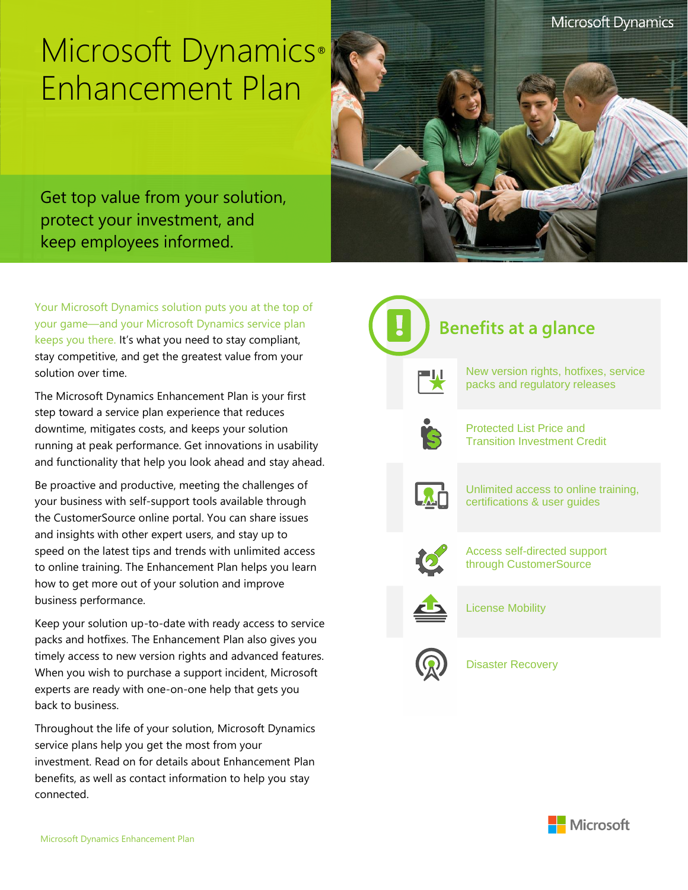## Microsoft Dynamics® Enhancement Plan



Get top value from your solution, protect your investment, and keep employees informed.

Your Microsoft Dynamics solution puts you at the top of your game—and your Microsoft Dynamics service plan keeps you there. It's what you need to stay compliant, stay competitive, and get the greatest value from your solution over time.

The Microsoft Dynamics Enhancement Plan is your first step toward a service plan experience that reduces downtime, mitigates costs, and keeps your solution running at peak performance. Get innovations in usability and functionality that help you look ahead and stay ahead.

Be proactive and productive, meeting the challenges of your business with self-support tools available through the CustomerSource online portal. You can share issues and insights with other expert users, and stay up to speed on the latest tips and trends with unlimited access to online training. The Enhancement Plan helps you learn how to get more out of your solution and improve business performance.

Keep your solution up-to-date with ready access to service packs and hotfixes. The Enhancement Plan also gives you timely access to new version rights and advanced features. When you wish to purchase a support incident, Microsoft experts are ready with one-on-one help that gets you back to business.

Throughout the life of your solution, Microsoft Dynamics service plans help you get the most from your investment. Read on for details about Enhancement Plan benefits, as well as contact information to help you stay connected.